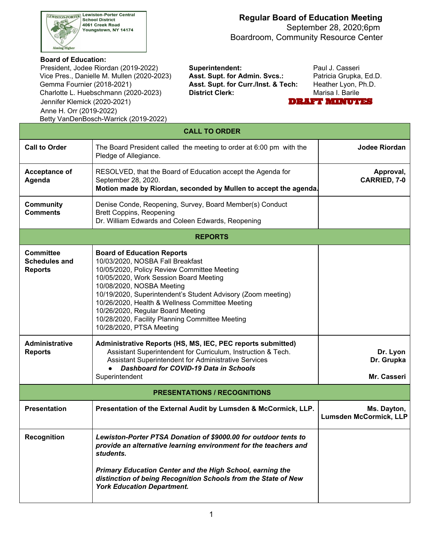

#### **Regular Board of Education Meeting** September 28, 2020;6pm

Boardroom, Community Resource Center

#### **Board of Education:**

 Vice Pres., Danielle M. Mullen (2020-2023) **Asst. Supt. for Admin. Svcs.:** Patricia Grupka, Ed.D. Gemma Fournier (2018-2021) Charlotte L. Huebschmann (2020-2023) **District Clerk:** Marisa I. Barile President, Jodee Riordan (2019-2022) **Superintendent:** Paul J. Casseri Jennifer Klemick (2020-2021) Anne H. Orr (2019-2022) Betty VanDenBosch-Warrick (2019-2022)

Asst. Supt. for Curr./Inst. & Tech: Heather Lyon, Ph.D.

DRAFT MINUTES

|                                                            | <b>CALL TO ORDER</b>                                                                                                                                                                                                                                                                                                                                                                                                               |                                              |
|------------------------------------------------------------|------------------------------------------------------------------------------------------------------------------------------------------------------------------------------------------------------------------------------------------------------------------------------------------------------------------------------------------------------------------------------------------------------------------------------------|----------------------------------------------|
| <b>Call to Order</b>                                       | The Board President called the meeting to order at 6:00 pm with the<br>Pledge of Allegiance.                                                                                                                                                                                                                                                                                                                                       | Jodee Riordan                                |
| <b>Acceptance of</b><br>Agenda                             | RESOLVED, that the Board of Education accept the Agenda for<br>September 28, 2020.<br>Motion made by Riordan, seconded by Mullen to accept the agenda.                                                                                                                                                                                                                                                                             | Approval,<br><b>CARRIED, 7-0</b>             |
| <b>Community</b><br><b>Comments</b>                        | Denise Conde, Reopening, Survey, Board Member(s) Conduct<br><b>Brett Coppins, Reopening</b><br>Dr. William Edwards and Coleen Edwards, Reopening                                                                                                                                                                                                                                                                                   |                                              |
|                                                            | <b>REPORTS</b>                                                                                                                                                                                                                                                                                                                                                                                                                     |                                              |
| <b>Committee</b><br><b>Schedules and</b><br><b>Reports</b> | <b>Board of Education Reports</b><br>10/03/2020, NOSBA Fall Breakfast<br>10/05/2020, Policy Review Committee Meeting<br>10/05/2020, Work Session Board Meeting<br>10/08/2020, NOSBA Meeting<br>10/19/2020, Superintendent's Student Advisory (Zoom meeting)<br>10/26/2020, Health & Wellness Committee Meeting<br>10/26/2020, Regular Board Meeting<br>10/28/2020, Facility Planning Committee Meeting<br>10/28/2020, PTSA Meeting |                                              |
| <b>Administrative</b><br><b>Reports</b>                    | Administrative Reports (HS, MS, IEC, PEC reports submitted)<br>Assistant Superintendent for Curriculum, Instruction & Tech.<br>Assistant Superintendent for Administrative Services<br>Dashboard for COVID-19 Data in Schools<br>Superintendent                                                                                                                                                                                    | Dr. Lyon<br>Dr. Grupka<br>Mr. Casseri        |
|                                                            | <b>PRESENTATIONS / RECOGNITIONS</b>                                                                                                                                                                                                                                                                                                                                                                                                |                                              |
| <b>Presentation</b>                                        | Presentation of the External Audit by Lumsden & McCormick, LLP.                                                                                                                                                                                                                                                                                                                                                                    | Ms. Dayton,<br><b>Lumsden McCormick, LLP</b> |
| <b>Recognition</b>                                         | Lewiston-Porter PTSA Donation of \$9000.00 for outdoor tents to<br>provide an alternative learning environment for the teachers and<br>students.<br>Primary Education Center and the High School, earning the<br>distinction of being Recognition Schools from the State of New<br><b>York Education Department.</b>                                                                                                               |                                              |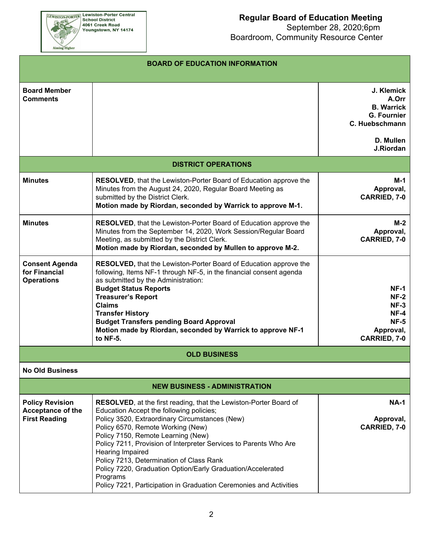

|                                                                            | <b>BOARD OF EDUCATION INFORMATION</b>                                                                                                                                                                                                                                                                                                                                                                                                                                                                                                    |                                                                                                            |
|----------------------------------------------------------------------------|------------------------------------------------------------------------------------------------------------------------------------------------------------------------------------------------------------------------------------------------------------------------------------------------------------------------------------------------------------------------------------------------------------------------------------------------------------------------------------------------------------------------------------------|------------------------------------------------------------------------------------------------------------|
| <b>Board Member</b><br><b>Comments</b>                                     |                                                                                                                                                                                                                                                                                                                                                                                                                                                                                                                                          | J. Klemick<br>A.Orr<br><b>B. Warrick</b><br><b>G. Fournier</b><br>C. Huebschmann<br>D. Mullen<br>J.Riordan |
|                                                                            | <b>DISTRICT OPERATIONS</b>                                                                                                                                                                                                                                                                                                                                                                                                                                                                                                               |                                                                                                            |
| <b>Minutes</b>                                                             | <b>RESOLVED, that the Lewiston-Porter Board of Education approve the</b><br>Minutes from the August 24, 2020, Regular Board Meeting as<br>submitted by the District Clerk.<br>Motion made by Riordan, seconded by Warrick to approve M-1.                                                                                                                                                                                                                                                                                                | M-1<br>Approval,<br>CARRIED, 7-0                                                                           |
| <b>Minutes</b>                                                             | RESOLVED, that the Lewiston-Porter Board of Education approve the<br>Minutes from the September 14, 2020, Work Session/Regular Board<br>Meeting, as submitted by the District Clerk.<br>Motion made by Riordan, seconded by Mullen to approve M-2.                                                                                                                                                                                                                                                                                       | $M-2$<br>Approval,<br><b>CARRIED, 7-0</b>                                                                  |
| <b>Consent Agenda</b><br>for Financial<br><b>Operations</b>                | <b>RESOLVED, that the Lewiston-Porter Board of Education approve the</b><br>following, Items NF-1 through NF-5, in the financial consent agenda<br>as submitted by the Administration:<br><b>Budget Status Reports</b><br><b>Treasurer's Report</b><br><b>Claims</b><br><b>Transfer History</b><br><b>Budget Transfers pending Board Approval</b><br>Motion made by Riordan, seconded by Warrick to approve NF-1<br>to NF-5.                                                                                                             | $NF-1$<br>$NF-2$<br>$NF-3$<br>$NF-4$<br><b>NF-5</b><br>Approval,<br><b>CARRIED, 7-0</b>                    |
|                                                                            | <b>OLD BUSINESS</b>                                                                                                                                                                                                                                                                                                                                                                                                                                                                                                                      |                                                                                                            |
| <b>No Old Business</b>                                                     |                                                                                                                                                                                                                                                                                                                                                                                                                                                                                                                                          |                                                                                                            |
|                                                                            | <b>NEW BUSINESS - ADMINISTRATION</b>                                                                                                                                                                                                                                                                                                                                                                                                                                                                                                     |                                                                                                            |
| <b>Policy Revision</b><br><b>Acceptance of the</b><br><b>First Reading</b> | <b>RESOLVED</b> , at the first reading, that the Lewiston-Porter Board of<br>Education Accept the following policies;<br>Policy 3520, Extraordinary Circumstances (New)<br>Policy 6570, Remote Working (New)<br>Policy 7150, Remote Learning (New)<br>Policy 7211, Provision of Interpreter Services to Parents Who Are<br>Hearing Impaired<br>Policy 7213, Determination of Class Rank<br>Policy 7220, Graduation Option/Early Graduation/Accelerated<br>Programs<br>Policy 7221, Participation in Graduation Ceremonies and Activities | <b>NA-1</b><br>Approval,<br><b>CARRIED, 7-0</b>                                                            |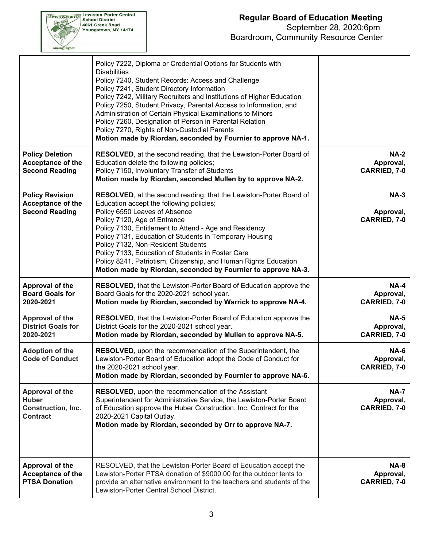

### **Regular Board of Education Meeting** September 28, 2020;6pm

Boardroom, Community Resource Center

|                                                                             | Policy 7222, Diploma or Credential Options for Students with<br><b>Disabilities</b><br>Policy 7240, Student Records: Access and Challenge<br>Policy 7241, Student Directory Information<br>Policy 7242, Military Recruiters and Institutions of Higher Education<br>Policy 7250, Student Privacy, Parental Access to Information, and<br>Administration of Certain Physical Examinations to Minors<br>Policy 7260, Designation of Person in Parental Relation<br>Policy 7270, Rights of Non-Custodial Parents<br>Motion made by Riordan, seconded by Fournier to approve NA-1. |                                                 |
|-----------------------------------------------------------------------------|--------------------------------------------------------------------------------------------------------------------------------------------------------------------------------------------------------------------------------------------------------------------------------------------------------------------------------------------------------------------------------------------------------------------------------------------------------------------------------------------------------------------------------------------------------------------------------|-------------------------------------------------|
| <b>Policy Deletion</b><br>Acceptance of the<br><b>Second Reading</b>        | <b>RESOLVED</b> , at the second reading, that the Lewiston-Porter Board of<br>Education delete the following policies;<br>Policy 7150, Involuntary Transfer of Students<br>Motion made by Riordan, seconded Mullen by to approve NA-2.                                                                                                                                                                                                                                                                                                                                         | <b>NA-2</b><br>Approval,<br><b>CARRIED, 7-0</b> |
| <b>Policy Revision</b><br><b>Acceptance of the</b><br><b>Second Reading</b> | <b>RESOLVED, at the second reading, that the Lewiston-Porter Board of</b><br>Education accept the following policies;<br>Policy 6550 Leaves of Absence<br>Policy 7120, Age of Entrance<br>Policy 7130, Entitlement to Attend - Age and Residency<br>Policy 7131, Education of Students in Temporary Housing<br>Policy 7132, Non-Resident Students<br>Policy 7133, Education of Students in Foster Care<br>Policy 8241, Patriotism, Citizenship, and Human Rights Education<br>Motion made by Riordan, seconded by Fournier to approve NA-3.                                    | $NA-3$<br>Approval,<br><b>CARRIED, 7-0</b>      |
| Approval of the<br><b>Board Goals for</b><br>2020-2021                      | RESOLVED, that the Lewiston-Porter Board of Education approve the<br>Board Goals for the 2020-2021 school year.<br>Motion made by Riordan, seconded by Warrick to approve NA-4.                                                                                                                                                                                                                                                                                                                                                                                                | <b>NA-4</b><br>Approval,<br><b>CARRIED, 7-0</b> |
|                                                                             |                                                                                                                                                                                                                                                                                                                                                                                                                                                                                                                                                                                |                                                 |
| <b>Approval of the</b><br><b>District Goals for</b><br>2020-2021            | RESOLVED, that the Lewiston-Porter Board of Education approve the<br>District Goals for the 2020-2021 school year.<br>Motion made by Riordan, seconded by Mullen to approve NA-5.                                                                                                                                                                                                                                                                                                                                                                                              | <b>NA-5</b><br>Approval,<br><b>CARRIED, 7-0</b> |
| <b>Adoption of the</b><br><b>Code of Conduct</b>                            | RESOLVED, upon the recommendation of the Superintendent, the<br>Lewiston-Porter Board of Education adopt the Code of Conduct for<br>the 2020-2021 school year.<br>Motion made by Riordan, seconded by Fournier to approve NA-6.                                                                                                                                                                                                                                                                                                                                                | <b>NA-6</b><br>Approval,<br>CARRIED, 7-0        |
| Approval of the<br><b>Huber</b><br>Construction, Inc.<br><b>Contract</b>    | <b>RESOLVED</b> , upon the recommendation of the Assistant<br>Superintendent for Administrative Service, the Lewiston-Porter Board<br>of Education approve the Huber Construction, Inc. Contract for the<br>2020-2021 Capital Outlay.<br>Motion made by Riordan, seconded by Orr to approve NA-7.                                                                                                                                                                                                                                                                              | <b>NA-7</b><br>Approval,<br><b>CARRIED, 7-0</b> |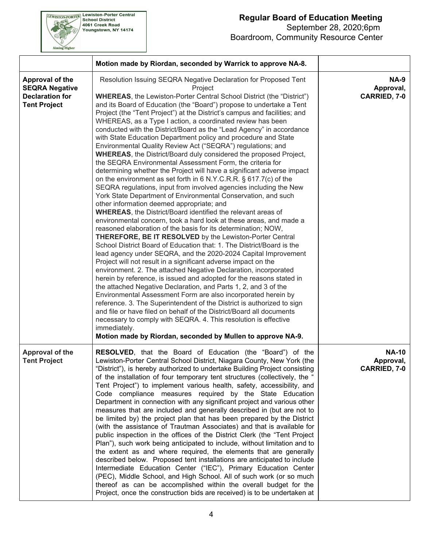

**EEWISTON-PORTER Lewiston-Porter Central**<br>School District<br>4061 Creek Road<br>Youngstown, NY 14174

|                                                                                           | Motion made by Riordan, seconded by Warrick to approve NA-8.                                                                                                                                                                                                                                                                                                                                                                                                                                                                                                                                                                                                                                                                                                                                                                                                                                                                                                                                                                                                                                                                                                                                                                                                                                                                                                                                                                                                                                                                                                                                                                                                                                                                                                                                                                                                                                                                                                                                                                                                                                                                                       |                                                  |
|-------------------------------------------------------------------------------------------|----------------------------------------------------------------------------------------------------------------------------------------------------------------------------------------------------------------------------------------------------------------------------------------------------------------------------------------------------------------------------------------------------------------------------------------------------------------------------------------------------------------------------------------------------------------------------------------------------------------------------------------------------------------------------------------------------------------------------------------------------------------------------------------------------------------------------------------------------------------------------------------------------------------------------------------------------------------------------------------------------------------------------------------------------------------------------------------------------------------------------------------------------------------------------------------------------------------------------------------------------------------------------------------------------------------------------------------------------------------------------------------------------------------------------------------------------------------------------------------------------------------------------------------------------------------------------------------------------------------------------------------------------------------------------------------------------------------------------------------------------------------------------------------------------------------------------------------------------------------------------------------------------------------------------------------------------------------------------------------------------------------------------------------------------------------------------------------------------------------------------------------------------|--------------------------------------------------|
| Approval of the<br><b>SEQRA Negative</b><br><b>Declaration for</b><br><b>Tent Project</b> | Resolution Issuing SEQRA Negative Declaration for Proposed Tent<br>Project<br><b>WHEREAS, the Lewiston-Porter Central School District (the "District")</b><br>and its Board of Education (the "Board") propose to undertake a Tent<br>Project (the "Tent Project") at the District's campus and facilities; and<br>WHEREAS, as a Type I action, a coordinated review has been<br>conducted with the District/Board as the "Lead Agency" in accordance<br>with State Education Department policy and procedure and State<br>Environmental Quality Review Act ("SEQRA") regulations; and<br><b>WHEREAS, the District/Board duly considered the proposed Project,</b><br>the SEQRA Environmental Assessment Form, the criteria for<br>determining whether the Project will have a significant adverse impact<br>on the environment as set forth in 6 N.Y.C.R.R. § 617.7(c) of the<br>SEQRA regulations, input from involved agencies including the New<br>York State Department of Environmental Conservation, and such<br>other information deemed appropriate; and<br><b>WHEREAS, the District/Board identified the relevant areas of</b><br>environmental concern, took a hard look at these areas, and made a<br>reasoned elaboration of the basis for its determination; NOW,<br><b>THEREFORE, BE IT RESOLVED</b> by the Lewiston-Porter Central<br>School District Board of Education that: 1. The District/Board is the<br>lead agency under SEQRA, and the 2020-2024 Capital Improvement<br>Project will not result in a significant adverse impact on the<br>environment. 2. The attached Negative Declaration, incorporated<br>herein by reference, is issued and adopted for the reasons stated in<br>the attached Negative Declaration, and Parts 1, 2, and 3 of the<br>Environmental Assessment Form are also incorporated herein by<br>reference. 3. The Superintendent of the District is authorized to sign<br>and file or have filed on behalf of the District/Board all documents<br>necessary to comply with SEQRA. 4. This resolution is effective<br>immediately.<br>Motion made by Riordan, seconded by Mullen to approve NA-9. | <b>NA-9</b><br>Approval,<br><b>CARRIED, 7-0</b>  |
| <b>Approval of the</b><br><b>Tent Project</b>                                             | <b>RESOLVED</b> , that the Board of Education (the "Board") of the<br>Lewiston-Porter Central School District, Niagara County, New York (the<br>"District"), is hereby authorized to undertake Building Project consisting<br>of the installation of four temporary tent structures (collectively, the "<br>Tent Project") to implement various health, safety, accessibility, and<br>Code compliance measures required by the State Education<br>Department in connection with any significant project and various other<br>measures that are included and generally described in (but are not to<br>be limited by) the project plan that has been prepared by the District<br>(with the assistance of Trautman Associates) and that is available for<br>public inspection in the offices of the District Clerk (the "Tent Project<br>Plan"), such work being anticipated to include, without limitation and to<br>the extent as and where required, the elements that are generally<br>described below. Proposed tent installations are anticipated to include<br>Intermediate Education Center ("IEC"), Primary Education Center<br>(PEC), Middle School, and High School. All of such work (or so much<br>thereof as can be accomplished within the overall budget for the<br>Project, once the construction bids are received) is to be undertaken at                                                                                                                                                                                                                                                                                                                                                                                                                                                                                                                                                                                                                                                                                                                                                                                         | <b>NA-10</b><br>Approval,<br><b>CARRIED, 7-0</b> |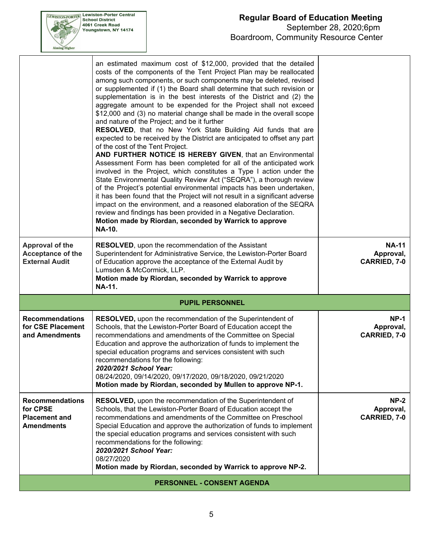

|                                                                                 | an estimated maximum cost of \$12,000, provided that the detailed<br>costs of the components of the Tent Project Plan may be reallocated<br>among such components, or such components may be deleted, revised<br>or supplemented if (1) the Board shall determine that such revision or<br>supplementation is in the best interests of the District and (2) the<br>aggregate amount to be expended for the Project shall not exceed<br>\$12,000 and (3) no material change shall be made in the overall scope<br>and nature of the Project; and be it further<br><b>RESOLVED, that no New York State Building Aid funds that are</b><br>expected to be received by the District are anticipated to offset any part<br>of the cost of the Tent Project.<br>AND FURTHER NOTICE IS HEREBY GIVEN, that an Environmental<br>Assessment Form has been completed for all of the anticipated work<br>involved in the Project, which constitutes a Type I action under the<br>State Environmental Quality Review Act ("SEQRA"), a thorough review<br>of the Project's potential environmental impacts has been undertaken,<br>it has been found that the Project will not result in a significant adverse<br>impact on the environment, and a reasoned elaboration of the SEQRA<br>review and findings has been provided in a Negative Declaration.<br>Motion made by Riordan, seconded by Warrick to approve<br><b>NA-10.</b> |                                                  |
|---------------------------------------------------------------------------------|-----------------------------------------------------------------------------------------------------------------------------------------------------------------------------------------------------------------------------------------------------------------------------------------------------------------------------------------------------------------------------------------------------------------------------------------------------------------------------------------------------------------------------------------------------------------------------------------------------------------------------------------------------------------------------------------------------------------------------------------------------------------------------------------------------------------------------------------------------------------------------------------------------------------------------------------------------------------------------------------------------------------------------------------------------------------------------------------------------------------------------------------------------------------------------------------------------------------------------------------------------------------------------------------------------------------------------------------------------------------------------------------------------------------------|--------------------------------------------------|
| <b>Approval of the</b><br>Acceptance of the<br><b>External Audit</b>            | <b>RESOLVED, upon the recommendation of the Assistant</b><br>Superintendent for Administrative Service, the Lewiston-Porter Board<br>of Education approve the acceptance of the External Audit by<br>Lumsden & McCormick, LLP.<br>Motion made by Riordan, seconded by Warrick to approve<br><b>NA-11.</b>                                                                                                                                                                                                                                                                                                                                                                                                                                                                                                                                                                                                                                                                                                                                                                                                                                                                                                                                                                                                                                                                                                             | <b>NA-11</b><br>Approval,<br><b>CARRIED, 7-0</b> |
|                                                                                 | <b>PUPIL PERSONNEL</b>                                                                                                                                                                                                                                                                                                                                                                                                                                                                                                                                                                                                                                                                                                                                                                                                                                                                                                                                                                                                                                                                                                                                                                                                                                                                                                                                                                                                |                                                  |
| <b>Recommendations</b><br>for CSE Placement<br>and Amendments                   | RESOLVED, upon the recommendation of the Superintendent of<br>Schools, that the Lewiston-Porter Board of Education accept the<br>recommendations and amendments of the Committee on Special<br>Education and approve the authorization of funds to implement the<br>special education programs and services consistent with such<br>recommendations for the following:<br>2020/2021 School Year:<br>08/24/2020, 09/14/2020, 09/17/2020, 09/18/2020, 09/21/2020<br>Motion made by Riordan, seconded by Mullen to approve NP-1.                                                                                                                                                                                                                                                                                                                                                                                                                                                                                                                                                                                                                                                                                                                                                                                                                                                                                         | $NP-1$<br>Approval,<br><b>CARRIED, 7-0</b>       |
| <b>Recommendations</b><br>for CPSE<br><b>Placement and</b><br><b>Amendments</b> | RESOLVED, upon the recommendation of the Superintendent of<br>Schools, that the Lewiston-Porter Board of Education accept the<br>recommendations and amendments of the Committee on Preschool<br>Special Education and approve the authorization of funds to implement<br>the special education programs and services consistent with such<br>recommendations for the following:<br>2020/2021 School Year:<br>08/27/2020<br>Motion made by Riordan, seconded by Warrick to approve NP-2.                                                                                                                                                                                                                                                                                                                                                                                                                                                                                                                                                                                                                                                                                                                                                                                                                                                                                                                              | $NP-2$<br>Approval,<br><b>CARRIED, 7-0</b>       |
|                                                                                 | <b>PERSONNEL - CONSENT AGENDA</b>                                                                                                                                                                                                                                                                                                                                                                                                                                                                                                                                                                                                                                                                                                                                                                                                                                                                                                                                                                                                                                                                                                                                                                                                                                                                                                                                                                                     |                                                  |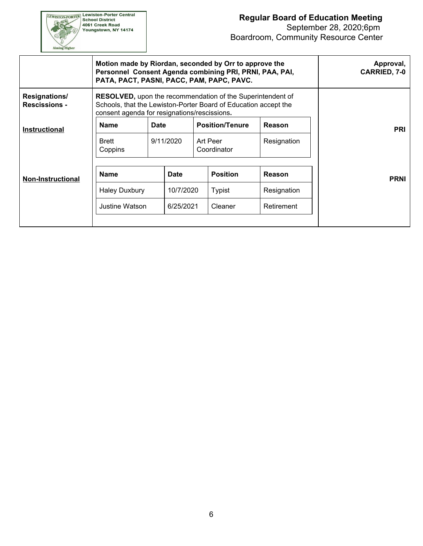

|                                       | Motion made by Riordan, seconded by Orr to approve the<br>Personnel Consent Agenda combining PRI, PRNI, PAA, PAI,<br>PATA, PACT, PASNI, PACC, PAM, PAPC, PAVC.                       |      |             |                         |               | Approval,<br><b>CARRIED, 7-0</b> |
|---------------------------------------|--------------------------------------------------------------------------------------------------------------------------------------------------------------------------------------|------|-------------|-------------------------|---------------|----------------------------------|
| Resignations/<br><b>Rescissions -</b> | <b>RESOLVED, upon the recommendation of the Superintendent of</b><br>Schools, that the Lewiston-Porter Board of Education accept the<br>consent agenda for resignations/rescissions. |      |             |                         |               |                                  |
| <b>Instructional</b>                  | <b>Name</b>                                                                                                                                                                          | Date |             | <b>Position/Tenure</b>  | <b>Reason</b> | <b>PRI</b>                       |
|                                       | Brett<br>Coppins                                                                                                                                                                     |      | 9/11/2020   | Art Peer<br>Coordinator | Resignation   |                                  |
| <b>Non-Instructional</b>              | <b>Name</b>                                                                                                                                                                          |      | <b>Date</b> | <b>Position</b>         | Reason        | <b>PRNI</b>                      |
|                                       | <b>Haley Duxbury</b>                                                                                                                                                                 |      | 10/7/2020   | Typist                  | Resignation   |                                  |
|                                       | Justine Watson                                                                                                                                                                       |      | 6/25/2021   | Cleaner                 | Retirement    |                                  |
|                                       |                                                                                                                                                                                      |      |             |                         |               |                                  |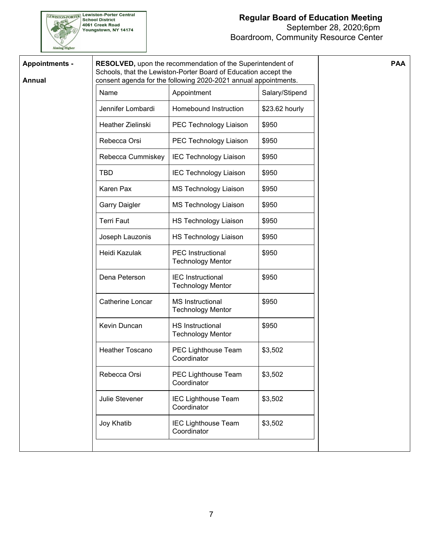

| <b>Annual</b> |                        | Schools, that the Lewiston-Porter Board of Education accept the<br>consent agenda for the following 2020-2021 annual appointments. |                |  |
|---------------|------------------------|------------------------------------------------------------------------------------------------------------------------------------|----------------|--|
|               | Name                   | Appointment                                                                                                                        | Salary/Stipend |  |
|               | Jennifer Lombardi      | Homebound Instruction                                                                                                              | \$23.62 hourly |  |
|               | Heather Zielinski      | PEC Technology Liaison                                                                                                             | \$950          |  |
|               | Rebecca Orsi           | PEC Technology Liaison                                                                                                             | \$950          |  |
|               | Rebecca Cummiskey      | <b>IEC Technology Liaison</b>                                                                                                      | \$950          |  |
|               | <b>TBD</b>             | <b>IEC Technology Liaison</b>                                                                                                      | \$950          |  |
|               | Karen Pax              | <b>MS Technology Liaison</b>                                                                                                       | \$950          |  |
|               | <b>Garry Daigler</b>   | MS Technology Liaison                                                                                                              | \$950          |  |
|               | <b>Terri Faut</b>      | <b>HS Technology Liaison</b>                                                                                                       | \$950          |  |
|               | Joseph Lauzonis        | <b>HS Technology Liaison</b>                                                                                                       | \$950          |  |
|               | Heidi Kazulak          | <b>PEC</b> Instructional<br><b>Technology Mentor</b>                                                                               | \$950          |  |
|               | Dena Peterson          | <b>IEC</b> Instructional<br><b>Technology Mentor</b>                                                                               | \$950          |  |
|               | Catherine Loncar       | <b>MS Instructional</b><br><b>Technology Mentor</b>                                                                                | \$950          |  |
|               | Kevin Duncan           | <b>HS Instructional</b><br><b>Technology Mentor</b>                                                                                | \$950          |  |
|               | <b>Heather Toscano</b> | PEC Lighthouse Team<br>Coordinator                                                                                                 | \$3,502        |  |
|               | Rebecca Orsi           | PEC Lighthouse Team<br>Coordinator                                                                                                 | \$3,502        |  |
|               | Julie Stevener         | <b>IEC Lighthouse Team</b><br>Coordinator                                                                                          | \$3,502        |  |
|               | Joy Khatib             | <b>IEC Lighthouse Team</b><br>Coordinator                                                                                          | \$3,502        |  |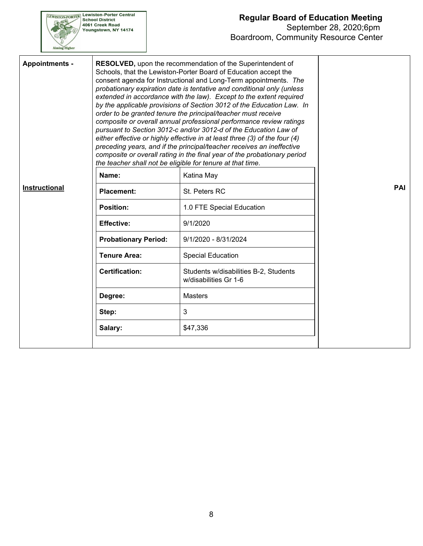

### **Regular Board of Education Meeting** September 28, 2020;6pm Boardroom, Community Resource Center

| <b>Appointments -</b> |                             | RESOLVED, upon the recommendation of the Superintendent of<br>Schools, that the Lewiston-Porter Board of Education accept the<br>consent agenda for Instructional and Long-Term appointments. The<br>probationary expiration date is tentative and conditional only (unless<br>extended in accordance with the law). Except to the extent required<br>by the applicable provisions of Section 3012 of the Education Law. In<br>order to be granted tenure the principal/teacher must receive<br>composite or overall annual professional performance review ratings<br>pursuant to Section 3012-c and/or 3012-d of the Education Law of<br>either effective or highly effective in at least three (3) of the four (4)<br>preceding years, and if the principal/teacher receives an ineffective<br>composite or overall rating in the final year of the probationary period<br>the teacher shall not be eligible for tenure at that time. |     |
|-----------------------|-----------------------------|------------------------------------------------------------------------------------------------------------------------------------------------------------------------------------------------------------------------------------------------------------------------------------------------------------------------------------------------------------------------------------------------------------------------------------------------------------------------------------------------------------------------------------------------------------------------------------------------------------------------------------------------------------------------------------------------------------------------------------------------------------------------------------------------------------------------------------------------------------------------------------------------------------------------------------------|-----|
|                       | Name:                       | Katina May                                                                                                                                                                                                                                                                                                                                                                                                                                                                                                                                                                                                                                                                                                                                                                                                                                                                                                                               |     |
| <b>Instructional</b>  | <b>Placement:</b>           | St. Peters RC                                                                                                                                                                                                                                                                                                                                                                                                                                                                                                                                                                                                                                                                                                                                                                                                                                                                                                                            | PAI |
|                       | Position:                   | 1.0 FTE Special Education                                                                                                                                                                                                                                                                                                                                                                                                                                                                                                                                                                                                                                                                                                                                                                                                                                                                                                                |     |
|                       | <b>Effective:</b>           | 9/1/2020                                                                                                                                                                                                                                                                                                                                                                                                                                                                                                                                                                                                                                                                                                                                                                                                                                                                                                                                 |     |
|                       | <b>Probationary Period:</b> | 9/1/2020 - 8/31/2024                                                                                                                                                                                                                                                                                                                                                                                                                                                                                                                                                                                                                                                                                                                                                                                                                                                                                                                     |     |
|                       | <b>Tenure Area:</b>         | <b>Special Education</b>                                                                                                                                                                                                                                                                                                                                                                                                                                                                                                                                                                                                                                                                                                                                                                                                                                                                                                                 |     |
|                       | <b>Certification:</b>       | Students w/disabilities B-2, Students<br>w/disabilities Gr 1-6                                                                                                                                                                                                                                                                                                                                                                                                                                                                                                                                                                                                                                                                                                                                                                                                                                                                           |     |
|                       | Degree:                     | <b>Masters</b>                                                                                                                                                                                                                                                                                                                                                                                                                                                                                                                                                                                                                                                                                                                                                                                                                                                                                                                           |     |
|                       | Step:                       | 3                                                                                                                                                                                                                                                                                                                                                                                                                                                                                                                                                                                                                                                                                                                                                                                                                                                                                                                                        |     |
|                       | Salary:                     | \$47,336                                                                                                                                                                                                                                                                                                                                                                                                                                                                                                                                                                                                                                                                                                                                                                                                                                                                                                                                 |     |
|                       |                             |                                                                                                                                                                                                                                                                                                                                                                                                                                                                                                                                                                                                                                                                                                                                                                                                                                                                                                                                          |     |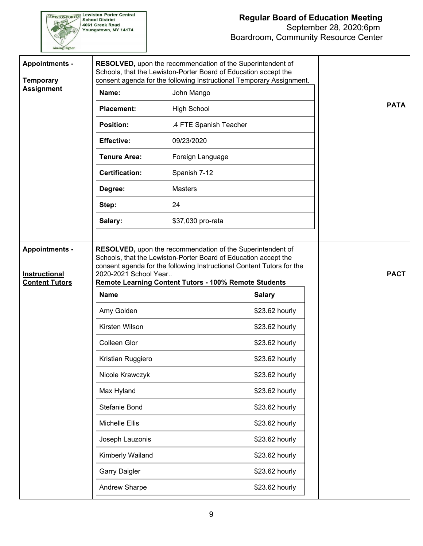

| <b>Appointments -</b><br><b>Temporary</b>     |                                      | <b>RESOLVED, upon the recommendation of the Superintendent of</b><br>Schools, that the Lewiston-Porter Board of Education accept the<br>consent agenda for the following Instructional Temporary Assignment. |                |             |
|-----------------------------------------------|--------------------------------------|--------------------------------------------------------------------------------------------------------------------------------------------------------------------------------------------------------------|----------------|-------------|
| <b>Assignment</b>                             | Name:                                | John Mango                                                                                                                                                                                                   |                |             |
|                                               | <b>Placement:</b>                    | <b>High School</b>                                                                                                                                                                                           |                | <b>PATA</b> |
|                                               | <b>Position:</b>                     | .4 FTE Spanish Teacher                                                                                                                                                                                       |                |             |
|                                               | <b>Effective:</b>                    | 09/23/2020                                                                                                                                                                                                   |                |             |
|                                               | <b>Tenure Area:</b>                  | Foreign Language                                                                                                                                                                                             |                |             |
|                                               | <b>Certification:</b>                | Spanish 7-12                                                                                                                                                                                                 |                |             |
|                                               | Degree:                              | <b>Masters</b>                                                                                                                                                                                               |                |             |
|                                               | Step:                                | 24                                                                                                                                                                                                           |                |             |
|                                               | Salary:                              | \$37,030 pro-rata                                                                                                                                                                                            |                |             |
| <b>Instructional</b><br><b>Content Tutors</b> | 2020-2021 School Year<br><b>Name</b> | consent agenda for the following Instructional Content Tutors for the<br>Remote Learning Content Tutors - 100% Remote Students                                                                               | <b>Salary</b>  | <b>PACT</b> |
|                                               |                                      |                                                                                                                                                                                                              |                |             |
|                                               | Amy Golden                           |                                                                                                                                                                                                              | \$23.62 hourly |             |
|                                               | Kirsten Wilson                       |                                                                                                                                                                                                              | \$23.62 hourly |             |
|                                               | <b>Colleen Glor</b>                  |                                                                                                                                                                                                              | \$23.62 hourly |             |
|                                               | Kristian Ruggiero                    |                                                                                                                                                                                                              | \$23.62 hourly |             |
|                                               | Nicole Krawczyk                      |                                                                                                                                                                                                              | \$23.62 hourly |             |
|                                               | Max Hyland                           |                                                                                                                                                                                                              | \$23.62 hourly |             |
|                                               | Stefanie Bond                        |                                                                                                                                                                                                              | \$23.62 hourly |             |
|                                               | Michelle Ellis                       |                                                                                                                                                                                                              | \$23.62 hourly |             |
|                                               | Joseph Lauzonis                      |                                                                                                                                                                                                              | \$23.62 hourly |             |
|                                               | Kimberly Wailand                     |                                                                                                                                                                                                              | \$23.62 hourly |             |
|                                               | <b>Garry Daigler</b>                 |                                                                                                                                                                                                              | \$23.62 hourly |             |
|                                               | Andrew Sharpe                        |                                                                                                                                                                                                              | \$23.62 hourly |             |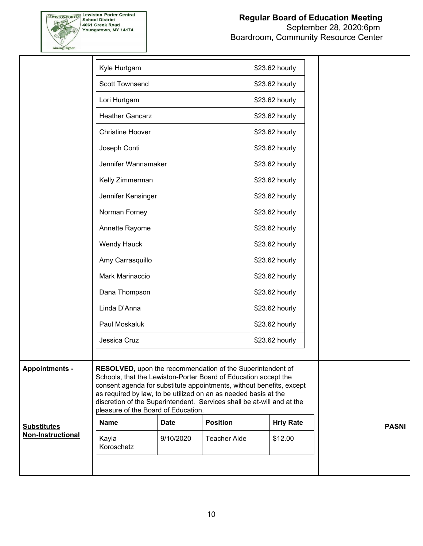

|                          | Kyle Hurtgam                        |             |                                                                                                                                                                                                                                                                                                                                                           | \$23.62 hourly   |              |
|--------------------------|-------------------------------------|-------------|-----------------------------------------------------------------------------------------------------------------------------------------------------------------------------------------------------------------------------------------------------------------------------------------------------------------------------------------------------------|------------------|--------------|
|                          | <b>Scott Townsend</b>               |             |                                                                                                                                                                                                                                                                                                                                                           | \$23.62 hourly   |              |
|                          | Lori Hurtgam                        |             |                                                                                                                                                                                                                                                                                                                                                           | \$23.62 hourly   |              |
|                          | <b>Heather Gancarz</b>              |             |                                                                                                                                                                                                                                                                                                                                                           | \$23.62 hourly   |              |
|                          | <b>Christine Hoover</b>             |             |                                                                                                                                                                                                                                                                                                                                                           | \$23.62 hourly   |              |
|                          | Joseph Conti                        |             |                                                                                                                                                                                                                                                                                                                                                           | \$23.62 hourly   |              |
|                          | Jennifer Wannamaker                 |             |                                                                                                                                                                                                                                                                                                                                                           | \$23.62 hourly   |              |
|                          | Kelly Zimmerman                     |             |                                                                                                                                                                                                                                                                                                                                                           | \$23.62 hourly   |              |
|                          | Jennifer Kensinger                  |             |                                                                                                                                                                                                                                                                                                                                                           | \$23.62 hourly   |              |
|                          | Norman Forney                       |             |                                                                                                                                                                                                                                                                                                                                                           | \$23.62 hourly   |              |
|                          | Annette Rayome                      |             |                                                                                                                                                                                                                                                                                                                                                           | \$23.62 hourly   |              |
|                          | Wendy Hauck                         |             |                                                                                                                                                                                                                                                                                                                                                           | \$23.62 hourly   |              |
|                          | Amy Carrasquillo                    |             |                                                                                                                                                                                                                                                                                                                                                           | \$23.62 hourly   |              |
|                          | Mark Marinaccio                     |             |                                                                                                                                                                                                                                                                                                                                                           | \$23.62 hourly   |              |
|                          | Dana Thompson                       |             |                                                                                                                                                                                                                                                                                                                                                           | \$23.62 hourly   |              |
|                          | Linda D'Anna                        |             |                                                                                                                                                                                                                                                                                                                                                           | \$23.62 hourly   |              |
|                          | Paul Moskaluk                       |             |                                                                                                                                                                                                                                                                                                                                                           | \$23.62 hourly   |              |
|                          | Jessica Cruz                        |             |                                                                                                                                                                                                                                                                                                                                                           | \$23.62 hourly   |              |
| <b>Appointments -</b>    | pleasure of the Board of Education. |             | <b>RESOLVED, upon the recommendation of the Superintendent of</b><br>Schools, that the Lewiston-Porter Board of Education accept the<br>consent agenda for substitute appointments, without benefits, except<br>as required by law, to be utilized on an as needed basis at the<br>discretion of the Superintendent. Services shall be at-will and at the |                  |              |
| <b>Substitutes</b>       | <b>Name</b>                         | <b>Date</b> | <b>Position</b>                                                                                                                                                                                                                                                                                                                                           | <b>Hrly Rate</b> | <b>PASNI</b> |
| <b>Non-Instructional</b> | Kayla<br>Koroschetz                 | 9/10/2020   | <b>Teacher Aide</b>                                                                                                                                                                                                                                                                                                                                       | \$12.00          |              |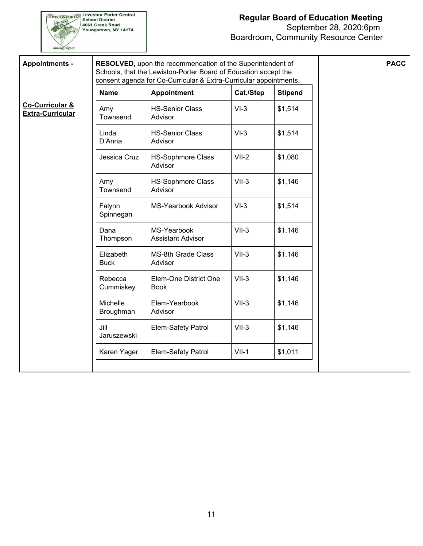

| <b>Appointments -</b>                      |                          | RESOLVED, upon the recommendation of the Superintendent of<br>Schools, that the Lewiston-Porter Board of Education accept the<br>consent agenda for Co-Curricular & Extra-Curricular appointments. |           |                | <b>PACC</b> |
|--------------------------------------------|--------------------------|----------------------------------------------------------------------------------------------------------------------------------------------------------------------------------------------------|-----------|----------------|-------------|
|                                            | <b>Name</b>              | <b>Appointment</b>                                                                                                                                                                                 | Cat./Step | <b>Stipend</b> |             |
| Co-Curricular &<br><b>Extra-Curricular</b> | Amy<br>Townsend          | <b>HS-Senior Class</b><br>Advisor                                                                                                                                                                  | $VI-3$    | \$1,514        |             |
|                                            | Linda<br>D'Anna          | <b>HS-Senior Class</b><br>Advisor                                                                                                                                                                  | $VI-3$    | \$1,514        |             |
|                                            | Jessica Cruz             | <b>HS-Sophmore Class</b><br>Advisor                                                                                                                                                                | $VII-2$   | \$1,080        |             |
|                                            | Amy<br>Townsend          | <b>HS-Sophmore Class</b><br>Advisor                                                                                                                                                                | $VII-3$   | \$1,146        |             |
|                                            | Falynn<br>Spinnegan      | <b>MS-Yearbook Advisor</b>                                                                                                                                                                         | $VI-3$    | \$1,514        |             |
|                                            | Dana<br>Thompson         | MS-Yearbook<br><b>Assistant Advisor</b>                                                                                                                                                            | $VII-3$   | \$1,146        |             |
|                                            | Elizabeth<br><b>Buck</b> | <b>MS-8th Grade Class</b><br>Advisor                                                                                                                                                               | $VII-3$   | \$1,146        |             |
|                                            | Rebecca<br>Cummiskey     | Elem-One District One<br><b>Book</b>                                                                                                                                                               | $VII-3$   | \$1,146        |             |
|                                            | Michelle<br>Broughman    | Elem-Yearbook<br>Advisor                                                                                                                                                                           | $VII-3$   | \$1,146        |             |
|                                            | Jill<br>Jaruszewski      | Elem-Safety Patrol                                                                                                                                                                                 | $VII-3$   | \$1,146        |             |
|                                            | Karen Yager              | Elem-Safety Patrol                                                                                                                                                                                 | $VII-1$   | \$1,011        |             |
|                                            |                          |                                                                                                                                                                                                    |           |                |             |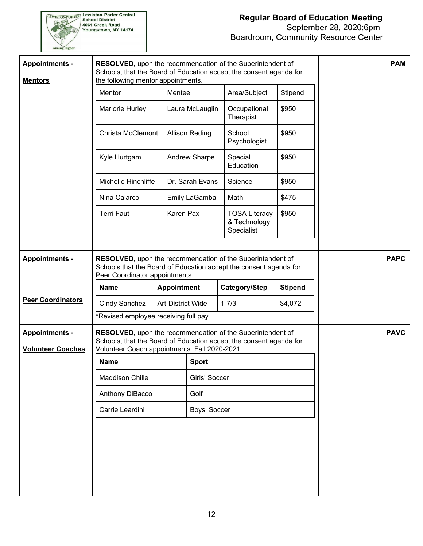

| <b>Appointments -</b><br><b>Mentors</b> | RESOLVED, upon the recommendation of the Superintendent of<br>Schools, that the Board of Education accept the consent agenda for<br>the following mentor appointments. |                    |                       |                                                    |                | <b>PAM</b>  |
|-----------------------------------------|------------------------------------------------------------------------------------------------------------------------------------------------------------------------|--------------------|-----------------------|----------------------------------------------------|----------------|-------------|
|                                         | Mentor                                                                                                                                                                 | Mentee             |                       | Area/Subject                                       | Stipend        |             |
|                                         | Marjorie Hurley                                                                                                                                                        |                    | Laura McLauglin       | Occupational<br>Therapist                          | \$950          |             |
|                                         | <b>Christa McClemont</b>                                                                                                                                               |                    | <b>Allison Reding</b> | School<br>Psychologist                             | \$950          |             |
|                                         | Kyle Hurtgam                                                                                                                                                           |                    | Andrew Sharpe         | Special<br>Education                               | \$950          |             |
|                                         | Michelle Hinchliffe                                                                                                                                                    |                    | Dr. Sarah Evans       | Science                                            | \$950          |             |
|                                         | Nina Calarco                                                                                                                                                           |                    | Emily LaGamba         | Math                                               | \$475          |             |
|                                         | <b>Terri Faut</b>                                                                                                                                                      | Karen Pax          |                       | <b>TOSA Literacy</b><br>& Technology<br>Specialist | \$950          |             |
| <b>Appointments -</b>                   | RESOLVED, upon the recommendation of the Superintendent of<br>Schools that the Board of Education accept the consent agenda for<br>Peer Coordinator appointments.      |                    |                       |                                                    |                | <b>PAPC</b> |
|                                         |                                                                                                                                                                        |                    |                       |                                                    |                |             |
|                                         | <b>Name</b>                                                                                                                                                            | <b>Appointment</b> |                       | Category/Step                                      | <b>Stipend</b> |             |
| <b>Peer Coordinators</b>                | <b>Cindy Sanchez</b>                                                                                                                                                   | Art-District Wide  |                       | $1 - 7/3$                                          | \$4,072        |             |
|                                         | *Revised employee receiving full pay.                                                                                                                                  |                    |                       |                                                    |                |             |
| <b>Appointments -</b>                   | RESOLVED, upon the recommendation of the Superintendent of<br>Schools, that the Board of Education accept the consent agenda for                                       |                    |                       |                                                    |                | <b>PAVC</b> |
| <b>Volunteer Coaches</b>                | Volunteer Coach appointments. Fall 2020-2021                                                                                                                           |                    |                       |                                                    |                |             |
|                                         | <b>Name</b>                                                                                                                                                            |                    | <b>Sport</b>          |                                                    |                |             |
|                                         | Maddison Chille                                                                                                                                                        |                    | Girls' Soccer         |                                                    |                |             |
|                                         | Anthony DiBacco                                                                                                                                                        |                    | Golf                  |                                                    |                |             |
|                                         | Carrie Leardini                                                                                                                                                        |                    | Boys' Soccer          |                                                    |                |             |
|                                         |                                                                                                                                                                        |                    |                       |                                                    |                |             |
|                                         |                                                                                                                                                                        |                    |                       |                                                    |                |             |
|                                         |                                                                                                                                                                        |                    |                       |                                                    |                |             |
|                                         |                                                                                                                                                                        |                    |                       |                                                    |                |             |
|                                         |                                                                                                                                                                        |                    |                       |                                                    |                |             |